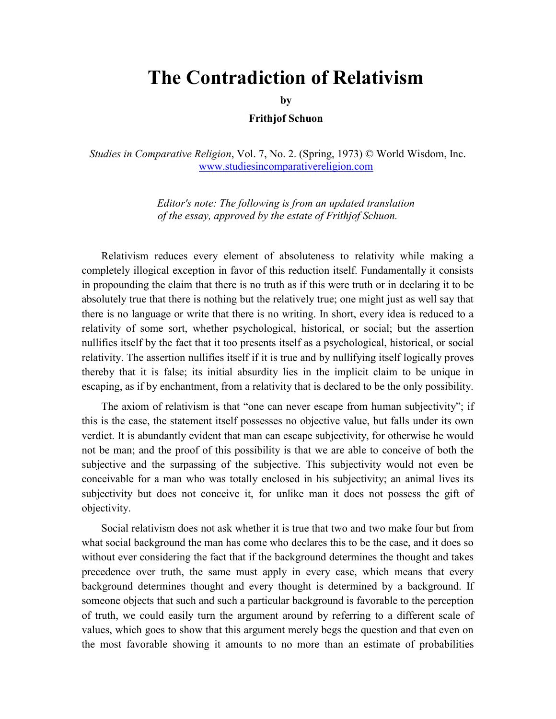## **The Contradiction of Relativism**

**by**

**Frithjof Schuon**

*Studies in Comparative Religion*, Vol. 7, No. 2. (Spring, 1973) © World Wisdom, Inc. [www.studiesincomparativereligion.com](http://www.studiesincomparativereligion.com/)

> *Editor's note: The following is from an updated translation of the essay, approved by the estate of Frithjof Schuon.*

Relativism reduces every element of absoluteness to relativity while making a completely illogical exception in favor of this reduction itself. Fundamentally it consists in propounding the claim that there is no truth as if this were truth or in declaring it to be absolutely true that there is nothing but the relatively true; one might just as well say that there is no language or write that there is no writing. In short, every idea is reduced to a relativity of some sort, whether psychological, historical, or social; but the assertion nullifies itself by the fact that it too presents itself as a psychological, historical, or social relativity. The assertion nullifies itself if it is true and by nullifying itself logically proves thereby that it is false; its initial absurdity lies in the implicit claim to be unique in escaping, as if by enchantment, from a relativity that is declared to be the only possibility.

The axiom of relativism is that "one can never escape from human subjectivity"; if this is the case, the statement itself possesses no objective value, but falls under its own verdict. It is abundantly evident that man can escape subjectivity, for otherwise he would not be man; and the proof of this possibility is that we are able to conceive of both the subjective and the surpassing of the subjective. This subjectivity would not even be conceivable for a man who was totally enclosed in his subjectivity; an animal lives its subjectivity but does not conceive it, for unlike man it does not possess the gift of objectivity.

Social relativism does not ask whether it is true that two and two make four but from what social background the man has come who declares this to be the case, and it does so without ever considering the fact that if the background determines the thought and takes precedence over truth, the same must apply in every case, which means that every background determines thought and every thought is determined by a background. If someone objects that such and such a particular background is favorable to the perception of truth, we could easily turn the argument around by referring to a different scale of values, which goes to show that this argument merely begs the question and that even on the most favorable showing it amounts to no more than an estimate of probabilities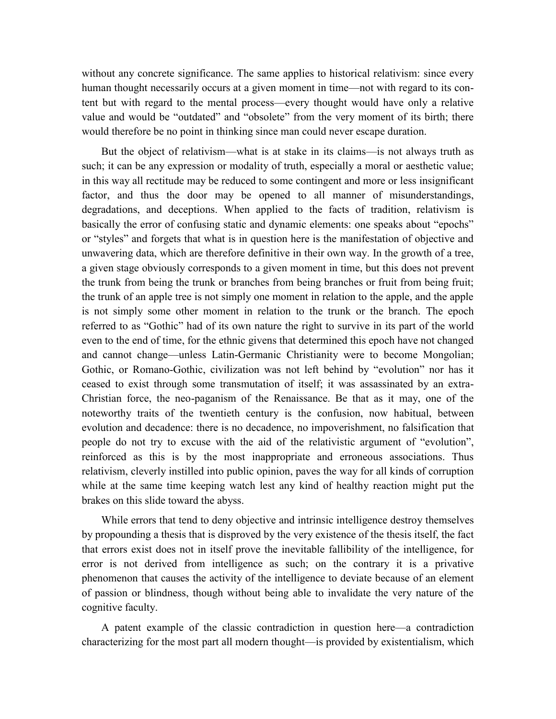without any concrete significance. The same applies to historical relativism: since every human thought necessarily occurs at a given moment in time—not with regard to its content but with regard to the mental process—every thought would have only a relative value and would be "outdated" and "obsolete" from the very moment of its birth; there would therefore be no point in thinking since man could never escape duration.

But the object of relativism—what is at stake in its claims—is not always truth as such; it can be any expression or modality of truth, especially a moral or aesthetic value; in this way all rectitude may be reduced to some contingent and more or less insignificant factor, and thus the door may be opened to all manner of misunderstandings, degradations, and deceptions. When applied to the facts of tradition, relativism is basically the error of confusing static and dynamic elements: one speaks about "epochs" or "styles" and forgets that what is in question here is the manifestation of objective and unwavering data, which are therefore definitive in their own way. In the growth of a tree, a given stage obviously corresponds to a given moment in time, but this does not prevent the trunk from being the trunk or branches from being branches or fruit from being fruit; the trunk of an apple tree is not simply one moment in relation to the apple, and the apple is not simply some other moment in relation to the trunk or the branch. The epoch referred to as "Gothic" had of its own nature the right to survive in its part of the world even to the end of time, for the ethnic givens that determined this epoch have not changed and cannot change—unless Latin-Germanic Christianity were to become Mongolian; Gothic, or Romano-Gothic, civilization was not left behind by "evolution" nor has it ceased to exist through some transmutation of itself; it was assassinated by an extra-Christian force, the neo-paganism of the Renaissance. Be that as it may, one of the noteworthy traits of the twentieth century is the confusion, now habitual, between evolution and decadence: there is no decadence, no impoverishment, no falsification that people do not try to excuse with the aid of the relativistic argument of "evolution", reinforced as this is by the most inappropriate and erroneous associations. Thus relativism, cleverly instilled into public opinion, paves the way for all kinds of corruption while at the same time keeping watch lest any kind of healthy reaction might put the brakes on this slide toward the abyss.

While errors that tend to deny objective and intrinsic intelligence destroy themselves by propounding a thesis that is disproved by the very existence of the thesis itself, the fact that errors exist does not in itself prove the inevitable fallibility of the intelligence, for error is not derived from intelligence as such; on the contrary it is a privative phenomenon that causes the activity of the intelligence to deviate because of an element of passion or blindness, though without being able to invalidate the very nature of the cognitive faculty.

A patent example of the classic contradiction in question here—a contradiction characterizing for the most part all modern thought—is provided by existentialism, which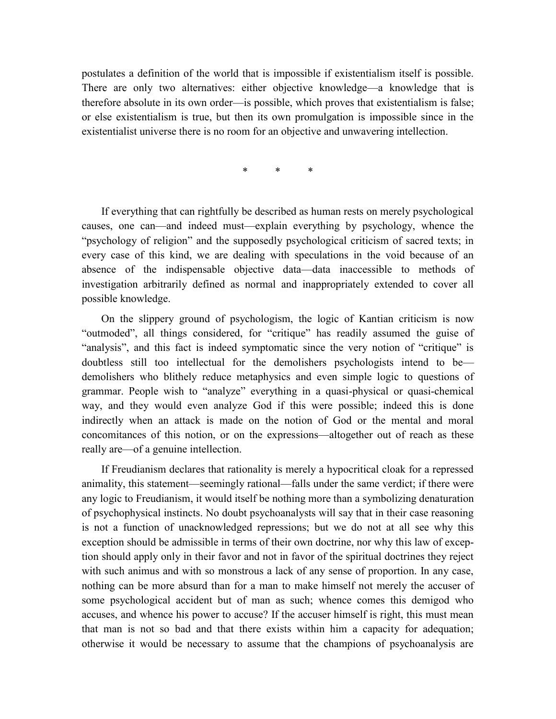postulates a definition of the world that is impossible if existentialism itself is possible. There are only two alternatives: either objective knowledge—a knowledge that is therefore absolute in its own order—is possible, which proves that existentialism is false; or else existentialism is true, but then its own promulgation is impossible since in the existentialist universe there is no room for an objective and unwavering intellection.

\* \* \*

If everything that can rightfully be described as human rests on merely psychological causes, one can—and indeed must—explain everything by psychology, whence the "psychology of religion" and the supposedly psychological criticism of sacred texts; in every case of this kind, we are dealing with speculations in the void because of an absence of the indispensable objective data—data inaccessible to methods of investigation arbitrarily defined as normal and inappropriately extended to cover all possible knowledge.

On the slippery ground of psychologism, the logic of Kantian criticism is now "outmoded", all things considered, for "critique" has readily assumed the guise of "analysis", and this fact is indeed symptomatic since the very notion of "critique" is doubtless still too intellectual for the demolishers psychologists intend to be demolishers who blithely reduce metaphysics and even simple logic to questions of grammar. People wish to "analyze" everything in a quasi-physical or quasi-chemical way, and they would even analyze God if this were possible; indeed this is done indirectly when an attack is made on the notion of God or the mental and moral concomitances of this notion, or on the expressions—altogether out of reach as these really are—of a genuine intellection.

If Freudianism declares that rationality is merely a hypocritical cloak for a repressed animality, this statement—seemingly rational—falls under the same verdict; if there were any logic to Freudianism, it would itself be nothing more than a symbolizing denaturation of psychophysical instincts. No doubt psychoanalysts will say that in their case reasoning is not a function of unacknowledged repressions; but we do not at all see why this exception should be admissible in terms of their own doctrine, nor why this law of exception should apply only in their favor and not in favor of the spiritual doctrines they reject with such animus and with so monstrous a lack of any sense of proportion. In any case, nothing can be more absurd than for a man to make himself not merely the accuser of some psychological accident but of man as such; whence comes this demigod who accuses, and whence his power to accuse? If the accuser himself is right, this must mean that man is not so bad and that there exists within him a capacity for adequation; otherwise it would be necessary to assume that the champions of psychoanalysis are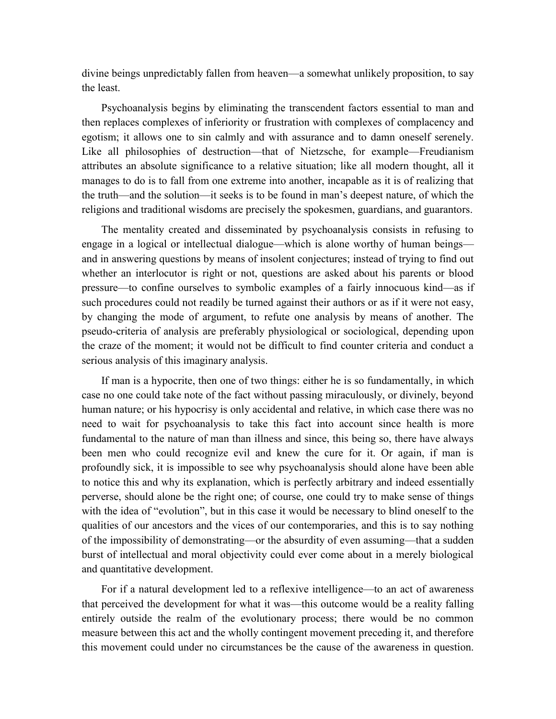divine beings unpredictably fallen from heaven—a somewhat unlikely proposition, to say the least.

Psychoanalysis begins by eliminating the transcendent factors essential to man and then replaces complexes of inferiority or frustration with complexes of complacency and egotism; it allows one to sin calmly and with assurance and to damn oneself serenely. Like all philosophies of destruction—that of Nietzsche, for example—Freudianism attributes an absolute significance to a relative situation; like all modern thought, all it manages to do is to fall from one extreme into another, incapable as it is of realizing that the truth—and the solution—it seeks is to be found in man's deepest nature, of which the religions and traditional wisdoms are precisely the spokesmen, guardians, and guarantors.

The mentality created and disseminated by psychoanalysis consists in refusing to engage in a logical or intellectual dialogue—which is alone worthy of human beings and in answering questions by means of insolent conjectures; instead of trying to find out whether an interlocutor is right or not, questions are asked about his parents or blood pressure—to confine ourselves to symbolic examples of a fairly innocuous kind—as if such procedures could not readily be turned against their authors or as if it were not easy, by changing the mode of argument, to refute one analysis by means of another. The pseudo-criteria of analysis are preferably physiological or sociological, depending upon the craze of the moment; it would not be difficult to find counter criteria and conduct a serious analysis of this imaginary analysis.

If man is a hypocrite, then one of two things: either he is so fundamentally, in which case no one could take note of the fact without passing miraculously, or divinely, beyond human nature; or his hypocrisy is only accidental and relative, in which case there was no need to wait for psychoanalysis to take this fact into account since health is more fundamental to the nature of man than illness and since, this being so, there have always been men who could recognize evil and knew the cure for it. Or again, if man is profoundly sick, it is impossible to see why psychoanalysis should alone have been able to notice this and why its explanation, which is perfectly arbitrary and indeed essentially perverse, should alone be the right one; of course, one could try to make sense of things with the idea of "evolution", but in this case it would be necessary to blind oneself to the qualities of our ancestors and the vices of our contemporaries, and this is to say nothing of the impossibility of demonstrating—or the absurdity of even assuming—that a sudden burst of intellectual and moral objectivity could ever come about in a merely biological and quantitative development.

For if a natural development led to a reflexive intelligence—to an act of awareness that perceived the development for what it was—this outcome would be a reality falling entirely outside the realm of the evolutionary process; there would be no common measure between this act and the wholly contingent movement preceding it, and therefore this movement could under no circumstances be the cause of the awareness in question.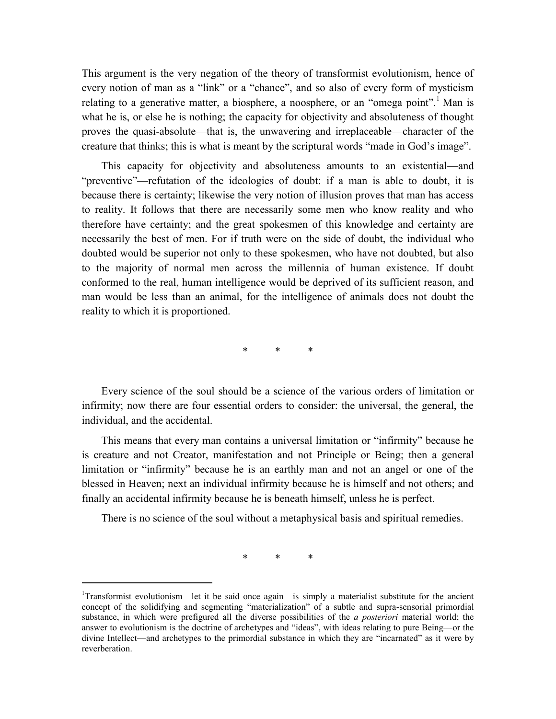This argument is the very negation of the theory of transformist evolutionism, hence of every notion of man as a "link" or a "chance", and so also of every form of mysticism relating to a generative matter, a biosphere, a noosphere, or an "omega point".<sup>1</sup> Man is what he is, or else he is nothing; the capacity for objectivity and absoluteness of thought proves the quasi-absolute—that is, the unwavering and irreplaceable—character of the creature that thinks; this is what is meant by the scriptural words "made in God's image".

This capacity for objectivity and absoluteness amounts to an existential—and "preventive"—refutation of the ideologies of doubt: if a man is able to doubt, it is because there is certainty; likewise the very notion of illusion proves that man has access to reality. It follows that there are necessarily some men who know reality and who therefore have certainty; and the great spokesmen of this knowledge and certainty are necessarily the best of men. For if truth were on the side of doubt, the individual who doubted would be superior not only to these spokesmen, who have not doubted, but also to the majority of normal men across the millennia of human existence. If doubt conformed to the real, human intelligence would be deprived of its sufficient reason, and man would be less than an animal, for the intelligence of animals does not doubt the reality to which it is proportioned.

\* \* \*

Every science of the soul should be a science of the various orders of limitation or infirmity; now there are four essential orders to consider: the universal, the general, the individual, and the accidental.

This means that every man contains a universal limitation or "infirmity" because he is creature and not Creator, manifestation and not Principle or Being; then a general limitation or "infirmity" because he is an earthly man and not an angel or one of the blessed in Heaven; next an individual infirmity because he is himself and not others; and finally an accidental infirmity because he is beneath himself, unless he is perfect.

There is no science of the soul without a metaphysical basis and spiritual remedies.

\* \* \*

 $\overline{a}$ 

<sup>1</sup>Transformist evolutionism—let it be said once again—is simply a materialist substitute for the ancient concept of the solidifying and segmenting "materialization" of a subtle and supra-sensorial primordial substance, in which were prefigured all the diverse possibilities of the *a posteriori* material world; the answer to evolutionism is the doctrine of archetypes and "ideas", with ideas relating to pure Being—or the divine Intellect—and archetypes to the primordial substance in which they are "incarnated" as it were by reverberation.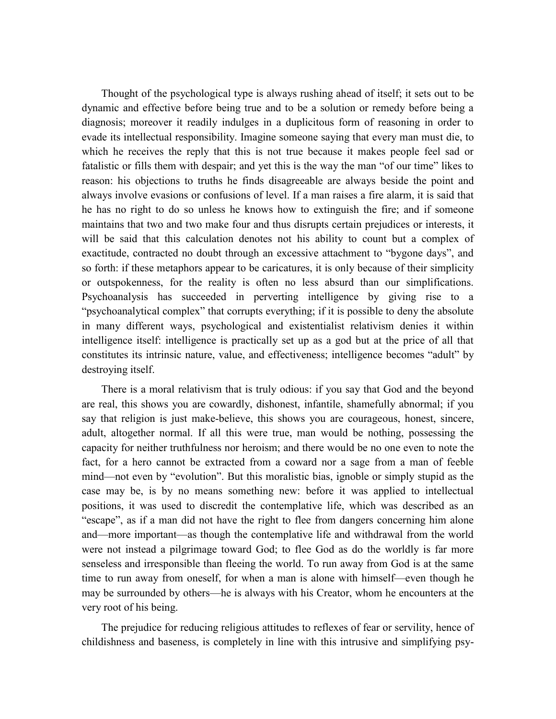Thought of the psychological type is always rushing ahead of itself; it sets out to be dynamic and effective before being true and to be a solution or remedy before being a diagnosis; moreover it readily indulges in a duplicitous form of reasoning in order to evade its intellectual responsibility. Imagine someone saying that every man must die, to which he receives the reply that this is not true because it makes people feel sad or fatalistic or fills them with despair; and yet this is the way the man "of our time" likes to reason: his objections to truths he finds disagreeable are always beside the point and always involve evasions or confusions of level. If a man raises a fire alarm, it is said that he has no right to do so unless he knows how to extinguish the fire; and if someone maintains that two and two make four and thus disrupts certain prejudices or interests, it will be said that this calculation denotes not his ability to count but a complex of exactitude, contracted no doubt through an excessive attachment to "bygone days", and so forth: if these metaphors appear to be caricatures, it is only because of their simplicity or outspokenness, for the reality is often no less absurd than our simplifications. Psychoanalysis has succeeded in perverting intelligence by giving rise to a "psychoanalytical complex" that corrupts everything; if it is possible to deny the absolute in many different ways, psychological and existentialist relativism denies it within intelligence itself: intelligence is practically set up as a god but at the price of all that constitutes its intrinsic nature, value, and effectiveness; intelligence becomes "adult" by destroying itself.

There is a moral relativism that is truly odious: if you say that God and the beyond are real, this shows you are cowardly, dishonest, infantile, shamefully abnormal; if you say that religion is just make-believe, this shows you are courageous, honest, sincere, adult, altogether normal. If all this were true, man would be nothing, possessing the capacity for neither truthfulness nor heroism; and there would be no one even to note the fact, for a hero cannot be extracted from a coward nor a sage from a man of feeble mind—not even by "evolution". But this moralistic bias, ignoble or simply stupid as the case may be, is by no means something new: before it was applied to intellectual positions, it was used to discredit the contemplative life, which was described as an "escape", as if a man did not have the right to flee from dangers concerning him alone and—more important—as though the contemplative life and withdrawal from the world were not instead a pilgrimage toward God; to flee God as do the worldly is far more senseless and irresponsible than fleeing the world. To run away from God is at the same time to run away from oneself, for when a man is alone with himself—even though he may be surrounded by others—he is always with his Creator, whom he encounters at the very root of his being.

The prejudice for reducing religious attitudes to reflexes of fear or servility, hence of childishness and baseness, is completely in line with this intrusive and simplifying psy-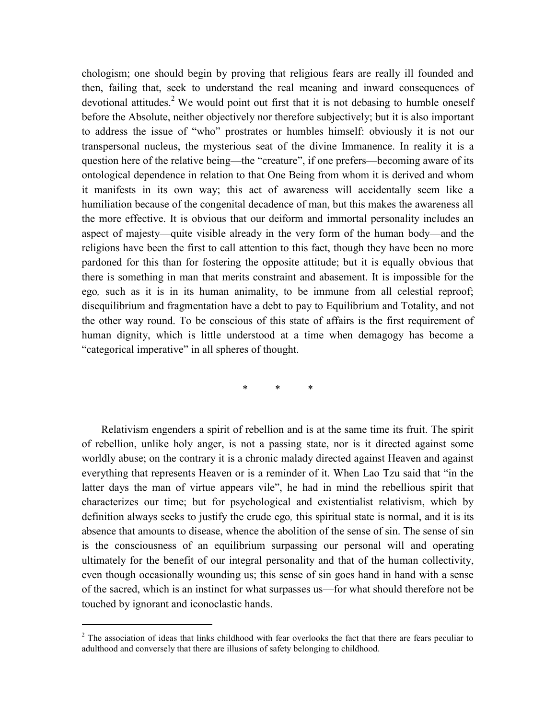chologism; one should begin by proving that religious fears are really ill founded and then, failing that, seek to understand the real meaning and inward consequences of devotional attitudes.<sup>2</sup> We would point out first that it is not debasing to humble oneself before the Absolute, neither objectively nor therefore subjectively; but it is also important to address the issue of "who" prostrates or humbles himself: obviously it is not our transpersonal nucleus, the mysterious seat of the divine Immanence. In reality it is a question here of the relative being—the "creature", if one prefers—becoming aware of its ontological dependence in relation to that One Being from whom it is derived and whom it manifests in its own way; this act of awareness will accidentally seem like a humiliation because of the congenital decadence of man, but this makes the awareness all the more effective. It is obvious that our deiform and immortal personality includes an aspect of majesty—quite visible already in the very form of the human body—and the religions have been the first to call attention to this fact, though they have been no more pardoned for this than for fostering the opposite attitude; but it is equally obvious that there is something in man that merits constraint and abasement. It is impossible for the ego*,* such as it is in its human animality, to be immune from all celestial reproof; disequilibrium and fragmentation have a debt to pay to Equilibrium and Totality, and not the other way round. To be conscious of this state of affairs is the first requirement of human dignity, which is little understood at a time when demagogy has become a "categorical imperative" in all spheres of thought.

\* \* \*

Relativism engenders a spirit of rebellion and is at the same time its fruit. The spirit of rebellion, unlike holy anger, is not a passing state, nor is it directed against some worldly abuse; on the contrary it is a chronic malady directed against Heaven and against everything that represents Heaven or is a reminder of it. When Lao Tzu said that "in the latter days the man of virtue appears vile", he had in mind the rebellious spirit that characterizes our time; but for psychological and existentialist relativism, which by definition always seeks to justify the crude ego*,* this spiritual state is normal, and it is its absence that amounts to disease, whence the abolition of the sense of sin. The sense of sin is the consciousness of an equilibrium surpassing our personal will and operating ultimately for the benefit of our integral personality and that of the human collectivity, even though occasionally wounding us; this sense of sin goes hand in hand with a sense of the sacred, which is an instinct for what surpasses us—for what should therefore not be touched by ignorant and iconoclastic hands.

 $\overline{a}$ 

<sup>&</sup>lt;sup>2</sup> The association of ideas that links childhood with fear overlooks the fact that there are fears peculiar to adulthood and conversely that there are illusions of safety belonging to childhood.